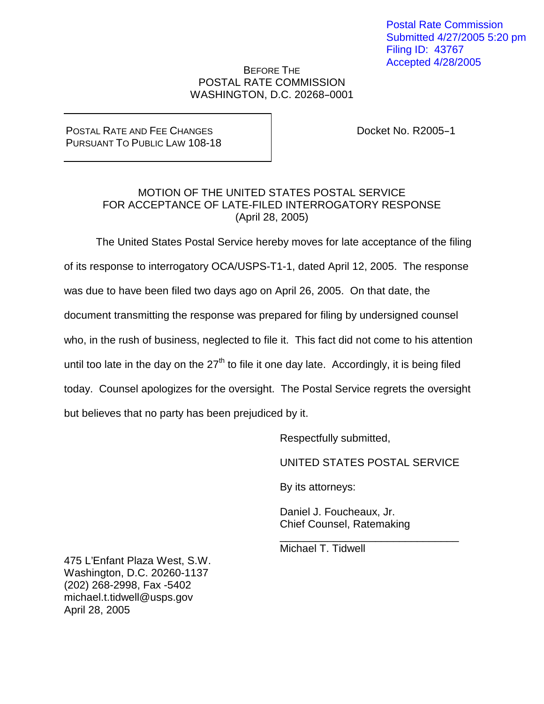Postal Rate Commission Submitted 4/27/2005 5:20 pm Filing ID: 43767 Accepted 4/28/2005

## BEFORE THE POSTAL RATE COMMISSION WASHINGTON, D.C. 20268-0001

## POSTAL RATE AND FEE CHANGES PURSUANT TO PUBLIC LAW 108-18

Docket No.  $R2005-1$ 

## MOTION OF THE UNITED STATES POSTAL SERVICE FOR ACCEPTANCE OF LATE-FILED INTERROGATORY RESPONSE (April 28, 2005)

The United States Postal Service hereby moves for late acceptance of the filing of its response to interrogatory OCA/USPS-T1-1, dated April 12, 2005. The response was due to have been filed two days ago on April 26, 2005. On that date, the document transmitting the response was prepared for filing by undersigned counsel who, in the rush of business, neglected to file it. This fact did not come to his attention until too late in the day on the  $27<sup>th</sup>$  to file it one day late. Accordingly, it is being filed today. Counsel apologizes for the oversight. The Postal Service regrets the oversight but believes that no party has been prejudiced by it.

Respectfully submitted,

UNITED STATES POSTAL SERVICE

\_\_\_\_\_\_\_\_\_\_\_\_\_\_\_\_\_\_\_\_\_\_\_\_\_\_\_\_\_\_

By its attorneys:

Daniel J. Foucheaux, Jr. Chief Counsel, Ratemaking

Michael T. Tidwell

475 L'Enfant Plaza West, S.W. Washington, D.C. 20260-1137 (202) 268-2998, Fax -5402 michael.t.tidwell@usps.gov April 28, 2005